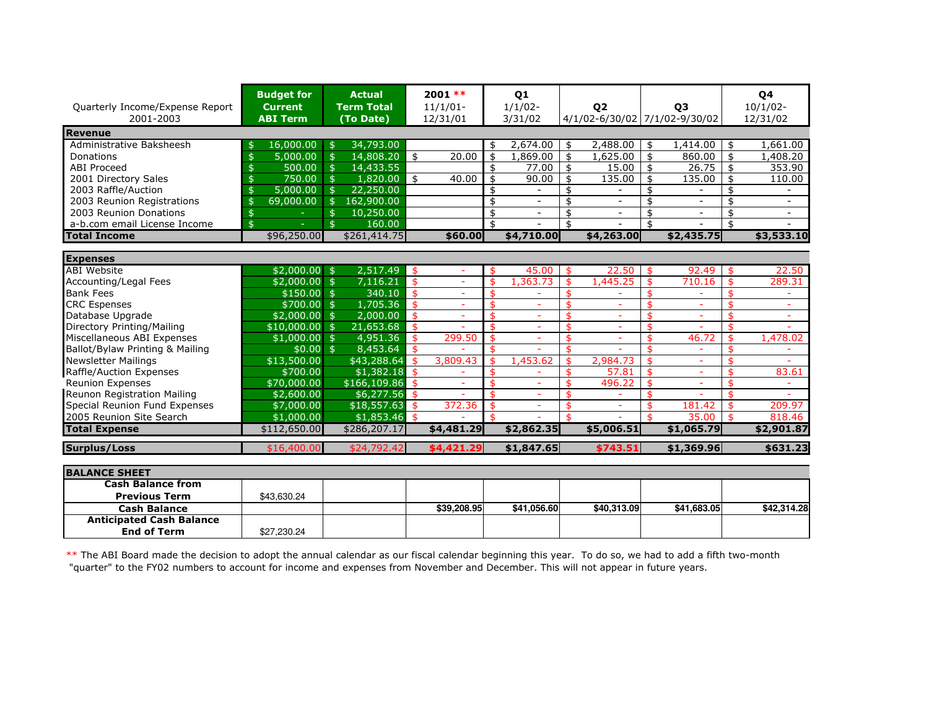| Quarterly Income/Expense Report<br>2001-2003 | <b>Budget for</b><br><b>Current</b><br><b>ABI Term</b> | <b>Actual</b><br><b>Term Total</b><br>(To Date) | $2001$ **<br>$11/1/01-$<br>12/31/01 |    | Q1<br>$1/1/02$ -<br>3/31/02 | Q <sub>2</sub><br>4/1/02-6/30/02 7/1/02-9/30/02 |     | <b>03</b>                |    | Q4<br>$10/1/02 -$<br>12/31/02 |
|----------------------------------------------|--------------------------------------------------------|-------------------------------------------------|-------------------------------------|----|-----------------------------|-------------------------------------------------|-----|--------------------------|----|-------------------------------|
| <b>Revenue</b>                               |                                                        |                                                 |                                     |    |                             |                                                 |     |                          |    |                               |
| Administrative Baksheesh                     | 16,000.00                                              | 34,793.00<br>\$                                 |                                     | \$ | 2,674.00                    | 2,488.00<br>\$                                  | -\$ | 1,414.00                 | \$ | 1,661.00                      |
| Donations                                    | 5,000.00                                               | 14,808.20<br>$\mathfrak{S}$                     | 20.00<br>\$                         | \$ | 1,869.00                    | \$<br>1,625,00                                  | \$  | 860.00                   | \$ | 1,408.20                      |
| <b>ABI Proceed</b>                           | 500.00                                                 | 14,433.55<br>$\mathfrak{S}$                     |                                     | \$ | 77.00                       | \$<br>15.00                                     | \$  | 26.75                    | \$ | 353.90                        |
| 2001 Directory Sales                         | 750.00                                                 | $\mathfrak{s}$<br>1,820.00                      | \$<br>40.00                         | \$ | 90.00                       | \$<br>135.00                                    | \$  | 135.00                   | \$ | 110.00                        |
| 2003 Raffle/Auction                          | 5,000.00                                               | 22,250.00<br>$\mathfrak{S}$                     |                                     | \$ |                             | \$                                              | \$  |                          | \$ |                               |
| 2003 Reunion Registrations                   | 69,000.00                                              | 162,900.00                                      |                                     | \$ |                             | \$                                              | \$  |                          | \$ | $\overline{\phantom{0}}$      |
| 2003 Reunion Donations                       |                                                        | 10,250.00<br>$\mathfrak{S}$                     |                                     | \$ | $\overline{\phantom{0}}$    | \$<br>$\overline{\phantom{a}}$                  | \$  | $\overline{\phantom{0}}$ | \$ | $\overline{\phantom{a}}$      |
| a-b.com email License Income                 | \$                                                     | 160.00<br>\$                                    |                                     | \$ |                             | \$                                              | \$  |                          | \$ |                               |
| <b>Total Income</b>                          | \$96,250.00                                            | \$261,414.75                                    | \$60.00                             |    | \$4,710.00                  | \$4,263.00                                      |     | \$2,435.75               |    | \$3,533.10                    |
|                                              |                                                        |                                                 |                                     |    |                             |                                                 |     |                          |    |                               |
| <b>Expenses</b>                              |                                                        |                                                 |                                     |    |                             |                                                 |     |                          |    |                               |
| <b>ABI</b> Website                           | \$2,000.00                                             | 2,517.49<br>\$                                  | -\$<br>٠                            | \$ | 45.00                       | 22.50<br>\$                                     | -\$ | 92.49                    | \$ | 22.50                         |
| Accounting/Legal Fees                        | \$2,000.00                                             | 7,116.21<br>\$                                  | $\overline{\mathbf{3}}$             | \$ | 1,363.73                    | \$<br>1,445.25                                  | \$  | 710.16                   |    | 289.31                        |
| <b>Bank Fees</b>                             | \$150.00                                               | 340.10<br>$\mathfrak{s}$                        | $\mathbf{\hat{S}}$                  |    |                             | \$                                              |     |                          |    | ÷                             |
| <b>CRC</b> Espenses                          | \$700.00                                               | 1,705.36<br>$\mathbf{\hat{S}}$                  | \$<br>$\equiv$                      |    |                             | ¢                                               |     | ÷                        |    | ٠                             |
| Database Upgrade                             | \$2,000.00                                             | 2,000.00<br>$\mathbf{\hat{S}}$                  | $\mathbf{\hat{S}}$                  | ፍ  |                             | ፋ                                               |     |                          |    |                               |
| Directory Printing/Mailing                   | \$10,000.00                                            | 21,653.68<br>\$                                 | $\mathbf{\hat{S}}$                  | ፋ  |                             | \$                                              |     |                          | \$ |                               |
| Miscellaneous ABI Expenses                   | \$1,000.00                                             | $\mathfrak{s}$<br>4,951.36                      | \$<br>299.50                        | \$ |                             | \$                                              |     | 46.72                    |    | 1,478.02                      |
| Ballot/Bylaw Printing & Mailing              | $$0.00$ \$                                             | 8,453.64                                        | $\ddot{\mathbf{r}}$                 | ፋ  |                             | ፋ                                               |     |                          |    | $\overline{\phantom{0}}$      |
| <b>Newsletter Mailings</b>                   | \$13,500.00                                            | \$43,288.64                                     | $\mathbf{\hat{S}}$<br>3,809.43      | ፍ  | 1,453.62                    | 2,984.73                                        |     | ۷                        |    |                               |
| Raffle/Auction Expenses                      | \$700.00                                               | $$1,382.18$ \$                                  |                                     |    |                             | 57.81<br>\$                                     | \$  | ٠                        |    | 83.61                         |
| <b>Reunion Expenses</b>                      | \$70,000.00                                            | $$166,109.86$ \$                                |                                     |    |                             | 496.22<br>\$                                    | -\$ |                          |    |                               |
| Reunon Registration Mailing                  | \$2,600.00                                             | $$6,277.56$ \$                                  |                                     |    |                             |                                                 |     |                          |    |                               |
| Special Reunion Fund Expenses                | \$7,000.00                                             | $$18,557.63$ \$                                 | 372.36                              | ፍ  | ۰                           | \$                                              |     | 181.42                   |    | 209.97                        |
| 2005 Reunion Site Search                     | \$1,000.00                                             | $$1,853.46$ \$                                  |                                     |    |                             | \$                                              |     | 35.00                    | \$ | 818.46                        |
| <b>Total Expense</b>                         | \$112,650.00                                           | \$286,207.17                                    | \$4,481.29                          |    | \$2,862.35                  | \$5,006.51                                      |     | \$1,065.79               |    | \$2,901.87                    |
| <b>Surplus/Loss</b>                          | \$16,400.00                                            | \$24,792.42                                     | \$4,421.29                          |    | \$1,847.65                  | \$743.51                                        |     | \$1,369.96               |    | \$631.23                      |

| <b>BALANCE SHEET</b>            |             |             |             |             |             |             |
|---------------------------------|-------------|-------------|-------------|-------------|-------------|-------------|
| <b>Cash Balance from</b>        |             |             |             |             |             |             |
| <b>Previous Term</b>            | \$43.630.24 |             |             |             |             |             |
| <b>Cash Balance</b>             |             | \$39,208.95 | \$41,056.60 | \$40,313,09 | \$41.683.05 | \$42,314.28 |
| <b>Anticipated Cash Balance</b> |             |             |             |             |             |             |
| <b>End of Term</b>              | \$27.230.24 |             |             |             |             |             |
|                                 |             |             |             |             |             |             |

\*\* The ABI Board made the decision to adopt the annual calendar as our fiscal calendar beginning this year. To do so, we had to add a fifth two-month<br>"quarter" to the FY02 numbers to account for income and expenses from No